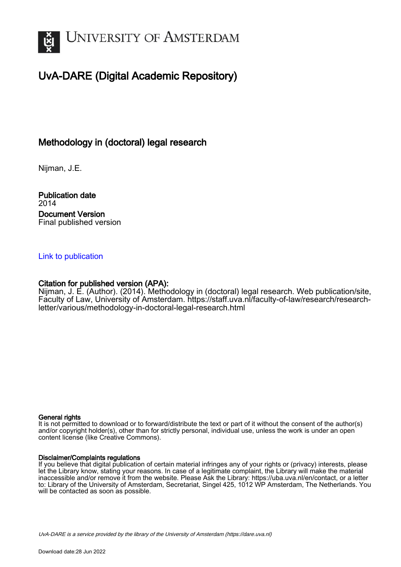

## UvA-DARE (Digital Academic Repository)

## Methodology in (doctoral) legal research

Nijman, J.E.

Publication date 2014 Document Version Final published version

## [Link to publication](https://dare.uva.nl/personal/pure/en/publications/methodology-in-doctoral-legal-research(8058b031-f0b2-4b3c-9dfa-8d5bf95a77d9).html)

## Citation for published version (APA):

Nijman, J. E. (Author). (2014). Methodology in (doctoral) legal research. Web publication/site, Faculty of Law, University of Amsterdam. [https://staff.uva.nl/faculty-of-law/research/research](https://staff.uva.nl/faculty-of-law/research/research-letter/various/methodology-in-doctoral-legal-research.html)[letter/various/methodology-in-doctoral-legal-research.html](https://staff.uva.nl/faculty-of-law/research/research-letter/various/methodology-in-doctoral-legal-research.html)

### General rights

It is not permitted to download or to forward/distribute the text or part of it without the consent of the author(s) and/or copyright holder(s), other than for strictly personal, individual use, unless the work is under an open content license (like Creative Commons).

### Disclaimer/Complaints regulations

If you believe that digital publication of certain material infringes any of your rights or (privacy) interests, please let the Library know, stating your reasons. In case of a legitimate complaint, the Library will make the material inaccessible and/or remove it from the website. Please Ask the Library: https://uba.uva.nl/en/contact, or a letter to: Library of the University of Amsterdam, Secretariat, Singel 425, 1012 WP Amsterdam, The Netherlands. You will be contacted as soon as possible.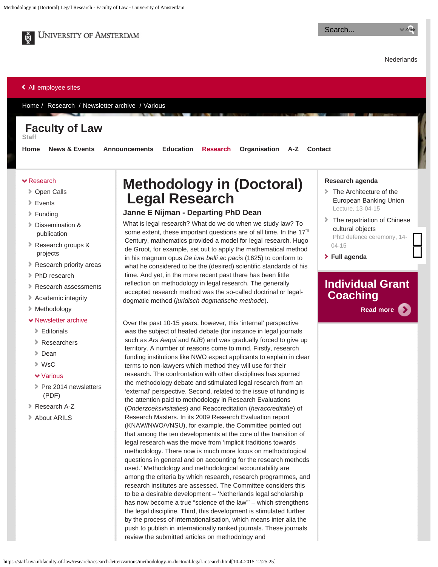

**UNIVERSITY OF AMSTERDAM** 

Search...

**[Nederlands](http://medewerker.uva.nl/fdr)** 

#### [All employee sites](https://staff.uva.nl/)

[Home](https://staff.uva.nl/faculty-of-law) / [Research](https://staff.uva.nl/faculty-of-law/research) / [Newsletter archive](https://staff.uva.nl/faculty-of-law/research/research-letter/nav) / [Various](https://staff.uva.nl/faculty-of-law/research/research-letter/various)

## **Faculty of Law**

**Staff**

**[Home](https://staff.uva.nl/faculty-of-law) [News & Events](https://staff.uva.nl/faculty-of-law/news-events) [Announcements](https://staff.uva.nl/faculty-of-law/announcements) [Education](https://staff.uva.nl/faculty-of-law/education) [Research](https://staff.uva.nl/faculty-of-law/research) [Organisation](https://staff.uva.nl/faculty-of-law/organisation) [A-Z](https://staff.uva.nl/faculty-of-law/az) [Contact](https://staff.uva.nl/faculty-of-law/contact)**

#### [Research](https://staff.uva.nl/faculty-of-law/research/research.html)

- [Open Calls](https://staff.uva.nl/faculty-of-law/research/open-calls/current-open-calls.html)
- [Events](https://staff.uva.nl/faculty-of-law/research/events/research-agenda.html)
- [Funding](https://staff.uva.nl/faculty-of-law/research/funding/research-funding.html)
- [Dissemination &](https://staff.uva.nl/faculty-of-law/research/dissemination--publication/dissemination--publication.html)  [publication](https://staff.uva.nl/faculty-of-law/research/dissemination--publication/dissemination--publication.html)
- [Research groups &](https://staff.uva.nl/faculty-of-law/research/research-groups--projects/research-groups.html)  [projects](https://staff.uva.nl/faculty-of-law/research/research-groups--projects/research-groups.html)
- **[Research priority areas](https://staff.uva.nl/faculty-of-law/research/research-priority-areas/research-priority-areas.html)**
- [PhD research](https://staff.uva.nl/faculty-of-law/research/phd-research/obtaining-a-phd-at-the-uva.html)
- [Research assessments](https://staff.uva.nl/faculty-of-law/research/research-assessments/research-assesment.html)
- [Academic integrity](https://staff.uva.nl/faculty-of-law/research/academic-integrity/academic-integrity.html)
- [Methodology](https://staff.uva.nl/faculty-of-law/research/methodology/methodology-in-legal-research.html)

#### **v** [Newsletter archive](https://staff.uva.nl/faculty-of-law/research/research-letter/research-letter.html)

- [Editorials](https://staff.uva.nl/faculty-of-law/research/research-letter/editorials/editorials.html)
- [Researchers](https://staff.uva.nl/faculty-of-law/research/research-letter/researchers/researchers.html)
- [Dean](https://staff.uva.nl/faculty-of-law/research/research-letter/dean/dean.html)
- [WsC](https://staff.uva.nl/faculty-of-law/research/research-letter/wsc/ten-recommendations.html)
- [Various](https://staff.uva.nl/faculty-of-law/research/research-letter/various/various.html)
- [Pre 2014 newsletters](https://staff.uva.nl/faculty-of-law/research/research-letter/archive/arils-2012-and-2013-newsletters.html)  [\(PDF\)](https://staff.uva.nl/faculty-of-law/research/research-letter/archive/arils-2012-and-2013-newsletters.html)
- [Research A-Z](https://staff.uva.nl/faculty-of-law/research/research-a-z/research-a-z.html)
- [About ARILS](https://staff.uva.nl/faculty-of-law/research/about-arils/about-arils.html)

# **Methodology in (Doctoral) Legal Research**

### **Janne E Nijman - Departing PhD Dean**

What is legal research? What do we do when we study law? To some extent, these important questions are of all time. In the 17<sup>th</sup> Century, mathematics provided a model for legal research. Hugo de Groot, for example, set out to apply the mathematical method in his magnum opus *De iure belli ac pacis* (1625) to conform to what he considered to be the (desired) scientific standards of his time. And yet, in the more recent past there has been little reflection on methodology in legal research. The generally accepted research method was the so-called doctrinal or legaldogmatic method (*juridisch dogmatische methode*).

Over the past 10-15 years, however, this 'internal' perspective was the subject of heated debate (for instance in legal journals such as *Ars Aequi* and *NJB*) and was gradually forced to give up territory. A number of reasons come to mind. Firstly, research funding institutions like NWO expect applicants to explain in clear terms to non-lawyers which method they will use for their research. The confrontation with other disciplines has spurred the methodology debate and stimulated legal research from an 'external' perspective. Second, related to the issue of funding is the attention paid to methodology in Research Evaluations (*Onderzoeksvisitaties*) and Reaccreditation (*heraccreditatie*) of Research Masters. In its 2009 Research Evaluation report (KNAW/NWO/VNSU), for example, the Committee pointed out that among the ten developments at the core of the transition of legal research was the move from 'implicit traditions towards methodology. There now is much more focus on methodological questions in general and on accounting for the research methods used.' Methodology and methodological accountability are among the criteria by which research, research programmes, and research institutes are assessed. The Committee considers this to be a desirable development – 'Netherlands legal scholarship has now become a true "science of the law"' – which strengthens the legal discipline. Third, this development is stimulated further by the process of internationalisation, which means inter alia the push to publish in internationally ranked journals. These journals review the submitted articles on methodology and

#### **Research agenda**

- [The Architecture of the](https://staff.uva.nl/faculty-of-law/research/componenten-rechterkolom/research-agenda/research-agenda/content/folder/lectures/2015/04/moslein.html)  [European Banking Union](https://staff.uva.nl/faculty-of-law/research/componenten-rechterkolom/research-agenda/research-agenda/content/folder/lectures/2015/04/moslein.html) [Lecture,](https://staff.uva.nl/faculty-of-law/research/componenten-rechterkolom/research-agenda/research-agenda/content/folder/lectures/2015/04/moslein.html) [13-04-15](https://staff.uva.nl/faculty-of-law/research/componenten-rechterkolom/research-agenda/research-agenda/content/folder/lectures/2015/04/moslein.html)
- **[The repatriation of Chinese](https://staff.uva.nl/faculty-of-law/research/componenten-rechterkolom/research-agenda/research-agenda/content-2/folder-2/2015/04/the-repatriation-of-chinese-cultural-objects.html)**  [cultural objects](https://staff.uva.nl/faculty-of-law/research/componenten-rechterkolom/research-agenda/research-agenda/content-2/folder-2/2015/04/the-repatriation-of-chinese-cultural-objects.html) [PhD defence ceremony,](https://staff.uva.nl/faculty-of-law/research/componenten-rechterkolom/research-agenda/research-agenda/content-2/folder-2/2015/04/the-repatriation-of-chinese-cultural-objects.html) [14-](https://staff.uva.nl/faculty-of-law/research/componenten-rechterkolom/research-agenda/research-agenda/content-2/folder-2/2015/04/the-repatriation-of-chinese-cultural-objects.html) [04-15](https://staff.uva.nl/faculty-of-law/research/componenten-rechterkolom/research-agenda/research-agenda/content-2/folder-2/2015/04/the-repatriation-of-chinese-cultural-objects.html)
- **[Full agenda](https://staff.uva.nl/faculty-of-law/news-events/events/events.html)**

## **Individual Grant Coaching**

**[Read more](https://staff.uva.nl/faculty-of-law/research/funding/individual-grant-coaching/individual-grant-coaching.html)**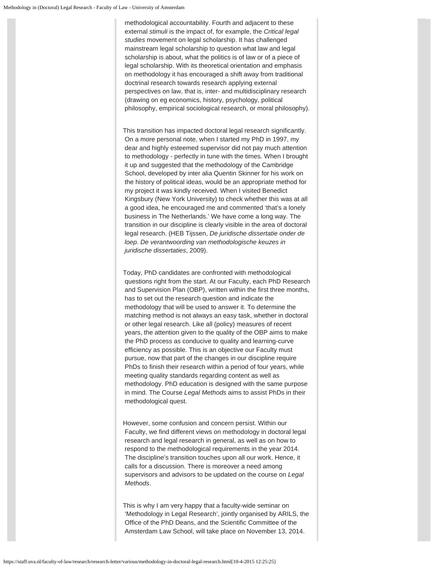methodological accountability. Fourth and adjacent to these external *stimuli* is the impact of, for example, the *Critical legal studies* movement on legal scholarship. It has challenged mainstream legal scholarship to question what law and legal scholarship is about, what the politics is of law or of a piece of legal scholarship. With its theoretical orientation and emphasis on methodology it has encouraged a shift away from traditional doctrinal research towards research applying external perspectives on law, that is, inter- and multidisciplinary research (drawing on eg economics, history, psychology, political philosophy, empirical sociological research, or moral philosophy).

This transition has impacted doctoral legal research significantly. On a more personal note, when I started my PhD in 1997, my dear and highly esteemed supervisor did not pay much attention to methodology - perfectly in tune with the times. When I brought it up and suggested that the methodology of the Cambridge School, developed by inter alia Quentin Skinner for his work on the history of political ideas, would be an appropriate method for my project it was kindly received. When I visited Benedict Kingsbury (New York University) to check whether this was at all a good idea, he encouraged me and commented 'that's a lonely business in The Netherlands.' We have come a long way. The transition in our discipline is clearly visible in the area of doctoral legal research. (HEB Tijssen, *De juridische dissertatie onder de loep. De verantwoording van methodologische keuzes in juridische dissertaties*, 2009).

Today, PhD candidates are confronted with methodological questions right from the start. At our Faculty, each PhD Research and Supervision Plan (OBP), written within the first three months, has to set out the research question and indicate the methodology that will be used to answer it. To determine the matching method is not always an easy task, whether in doctoral or other legal research. Like all (policy) measures of recent years, the attention given to the quality of the OBP aims to make the PhD process as conducive to quality and learning-curve efficiency as possible. This is an objective our Faculty must pursue, now that part of the changes in our discipline require PhDs to finish their research within a period of four years, while meeting quality standards regarding content as well as methodology. PhD education is designed with the same purpose in mind. The Course *Legal Methods* aims to assist PhDs in their methodological quest.

However, some confusion and concern persist. Within our Faculty, we find different views on methodology in doctoral legal research and legal research in general, as well as on how to respond to the methodological requirements in the year 2014. The discipline's transition touches upon all our work. Hence, it calls for a discussion. There is moreover a need among supervisors and advisors to be updated on the course on *Legal Methods*.

This is why I am very happy that a faculty-wide seminar on 'Methodology in Legal Research', jointly organised by ARILS, the Office of the PhD Deans, and the Scientific Committee of the Amsterdam Law School, will take place on November 13, 2014.